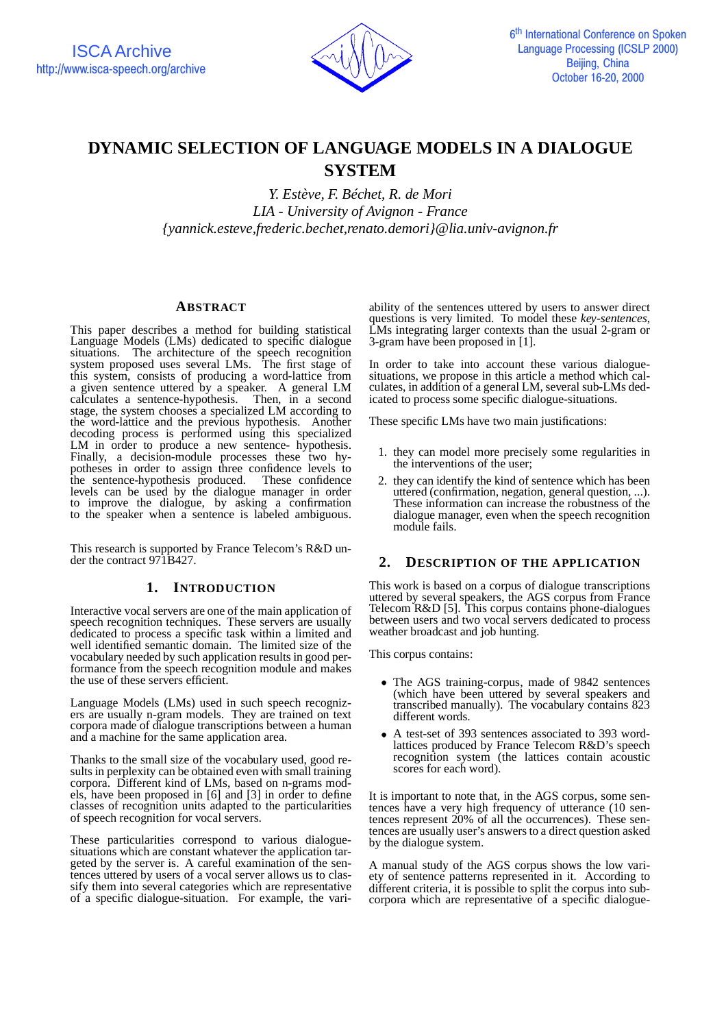

# **DYNAMIC SELECTION OF LANGUAGE MODELS IN A DIALOGUE SYSTEM**

*Y. Estève, F. Béchet, R. de Mori LIA - University of Avignon - France {yannick.esteve,frederic.bechet,renato.demori}@lia.univ-avignon.fr*

## **ABSTRACT**

This paper describes a method for building statistical Language Models (LMs) dedicated to specific dialogue situations. The architecture of the speech recognition system proposed uses several LMs. The first stage of this system, consists of producing a word-lattice from a given sentence uttered by a speaker. A general LM calculates a sentence-hypothesis. Then, in a second stage, the system chooses a specialized LM according to the word-lattice and the previous hypothesis. Another decoding process is performed using this specialized LM in order to produce a new sentence- hypothesis. Finally, a decision-module processes these two hypotheses in order to assign three confidence levels to the sentence-hypothesis produced. These confidence levels can be used by the dialogue manager in order to improve the dialogue, by asking a confirmation to the speaker when a sentence is labeled ambiguous.

This research is supported by France Telecom's R&D under the contract 971B427.

# **1. INTRODUCTION**

Interactive vocal servers are one of the main application of speech recognition techniques. These servers are usually dedicated to process a specific task within a limited and well identified semantic domain. The limited size of the vocabulary needed by such application results in good performance from the speech recognition module and makes the use of these servers efficient.

Language Models (LMs) used in such speech recognizers are usually n-gram models. They are trained on text corpora made of dialogue transcriptions between a human and a machine for the same application area.

Thanks to the small size of the vocabulary used, good results in perplexity can be obtained even with small training corpora. Different kind of LMs, based on n-grams models, have been proposed in [6] and [3] in order to define classes of recognition units adapted to the particularities of speech recognition for vocal servers.

These particularities correspond to various dialoguesituations which are constant whatever the application targeted by the server is. A careful examination of the sentences uttered by users of a vocal server allows us to classify them into several categories which are representative of a specific dialogue-situation. For example, the vari-

ability of the sentences uttered by users to answer direct questions is very limited. To model these *key-sentences*, LMs integrating larger contexts than the usual 2-gram or 3-gram have been proposed in [1].

In order to take into account these various dialoguesituations, we propose in this article a method which calculates, in addition of a general LM, several sub-LMs dedicated to process some specific dialogue-situations.

These specific LMs have two main justifications:

- 1. they can model more precisely some regularities in the interventions of the user;
- 2. they can identify the kind of sentence which has been uttered (confirmation, negation, general question, ...). These information can increase the robustness of the dialogue manager, even when the speech recognition module fails.

# **2. DESCRIPTION OF THE APPLICATION**

This work is based on a corpus of dialogue transcriptions uttered by several speakers, the AGS corpus from France Telecom R&D [5]. This corpus contains phone-dialogues between users and two vocal servers dedicated to process weather broadcast and job hunting.

This corpus contains:

- The AGS training-corpus, made of 9842 sentences (which have been uttered by several speakers and transcribed manually). The vocabulary contains 823 different words.
- A test-set of 393 sentences associated to 393 wordlattices produced by France Telecom R&D's speech recognition system (the lattices contain acoustic scores for each word).

It is important to note that, in the AGS corpus, some sentences have a very high frequency of utterance (10 sentences represent 20% of all the occurrences). These sentences are usually user's answersto a direct question asked by the dialogue system.

A manual study of the AGS corpus shows the low variety of sentence patterns represented in it. According to different criteria, it is possible to split the corpus into subcorpora which are representative of a specific dialogue-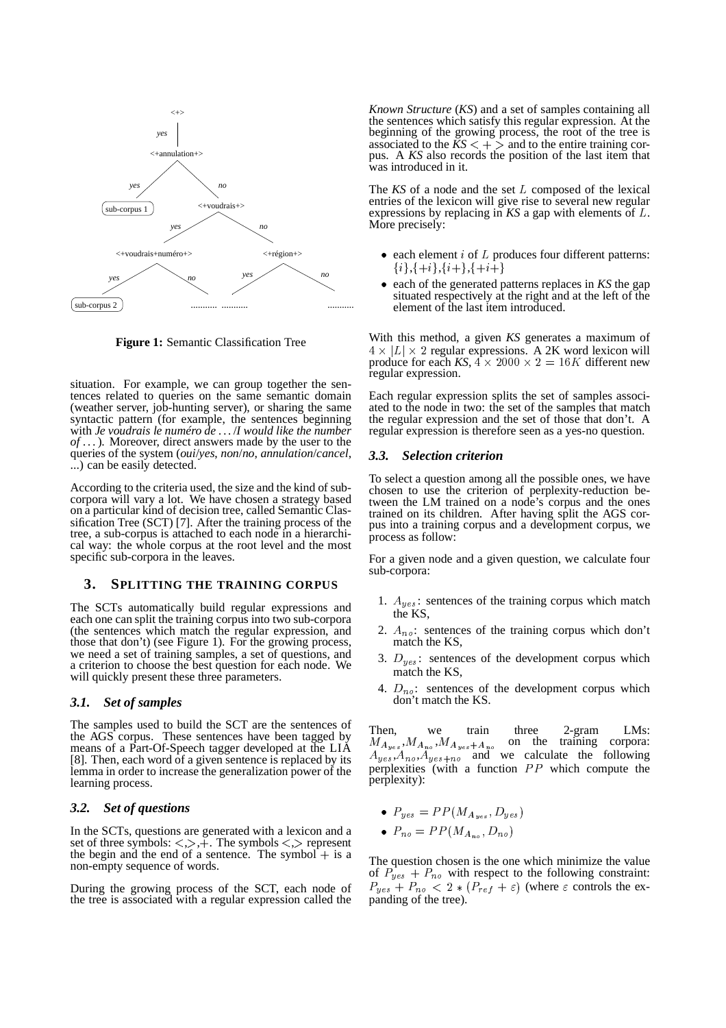

**Figure 1:** Semantic Classification Tree

situation. For example, we can group together the sentences related to queries on the same semantic domain (weather server, job-hunting server), or sharing the same syntactic pattern (for example, the sentences beginning with *Je voudrais le numéro de . . .*/*I would like the number of . . .*). Moreover, direct answers made by the user to the queries of the system (*oui*/*yes*, *non*/*no*, *annulation*/*cancel*, ...) can be easily detected.

According to the criteria used, the size and the kind of subcorpora will vary a lot. We have chosen a strategy based on a particular kind of decision tree, called Semantic Classification Tree (SCT) [7]. After the training process of the tree, a sub-corpus is attached to each node in a hierarchical way: the whole corpus at the root level and the most specific sub-corpora in the leaves.

### **3. SPLITTING THE TRAINING CORPUS**

The SCTs automatically build regular expressions and each one can split the training corpus into two sub-corpora (the sentences which match the regular expression, and those that don't) (see Figure 1). For the growing process, we need a set of training samples, a set of questions, and a criterion to choose the best question for each node. We will quickly present these three parameters.

### *3.1. Set of samples*

The samples used to build the SCT are the sentences of the AGS corpus. These sentences have been tagged by means of a Part-Of-Speech tagger developed at the LIA [8]. Then, each word of a given sentence is replaced by its lemma in order to increase the generalization power of the learning process.

### *3.2. Set of questions*

In the SCTs, questions are generated with a lexicon and a set of three symbols:  $\langle , \rangle$ ,  $\overline{+}$ . The symbols  $\langle , \rangle$  represent the begin and the end of a sentence. The symbol  $+$  is a non-empty sequence of words.

During the growing process of the SCT, each node of the tree is associated with a regular expression called the

*Known Structure* (*KS*) and a set of samples containing all the sentences which satisfy this regular expression. At the beginning of the growing process, the root of the tree is associated to the  $\overline{K}S \leq +\geq$  and to the entire training corpus. A *KS* also records the position of the last item that was introduced in it.

The  $KS$  of a node and the set  $L$  composed of the lexical entries of the lexicon will give rise to several new regular expressions by replacing in  $KS$  a gap with elements of  $L$ . More precisely:

- $\bullet$  each element *i* of *L* produces four different patterns:  $\{i\}, \{+i\}, \{i+\}, \{+i+\}$
- each of the generated patterns replaces in *KS* the gap situated respectively at the right and at the left of the element of the last item introduced.

With this method, a given *KS* generates a maximum of  $4 \times |L| \times 2$  regular expressions. A 2K word lexicon will produce for each KS,  $4 \times 2000 \times 2 = 16K$  different new regular expression.

Each regular expression splits the set of samples associated to the node in two: the set of the samples that match the regular expression and the set of those that don't. A regular expression is therefore seen as a yes-no question.

#### *3.3. Selection criterion*

To select a question among all the possible ones, we have chosen to use the criterion of perplexity-reduction between the LM trained on a node's corpus and the ones trained on its children. After having split the AGS corpus into a training corpus and a development corpus, we process as follow:

For a given node and a given question, we calculate four sub-corpora:

- 1.  $A_{yes}$ : sentences of the training corpus which match the KS,
- 2.  $A_{no}$ : sentences of the training corpus which don't match the KS,
- 3.  $D_{yes}$ : sentences of the development corpus which match the KS,
- 4.  $D_{no}$ : sentences of the development corpus which don't match the KS.

Then. Then, we train three 2-gram LMs:  $,M_{A_{n_0}},M_{A_{n_0+1}}$  on the training corpora:  $A_{ues}, A_{no}, A_{ues+no}$  and we calculate the following perplexities (with a function  $PP$  which compute the perplexity):

- $P_{yes} = PP(M_{A_{yes}}, D_{yes})$
- $P_{\text{no}} = PP(M_A \cup D_{\text{no}})$

The question chosen is the one which minimize the value of  $P_{yes} + P_{no}$  with respect to the following constraint:  $P_{yes} + P_{no} < 2 * (P_{ref} + \varepsilon)$  (where  $\varepsilon$  controls the expanding of the tree).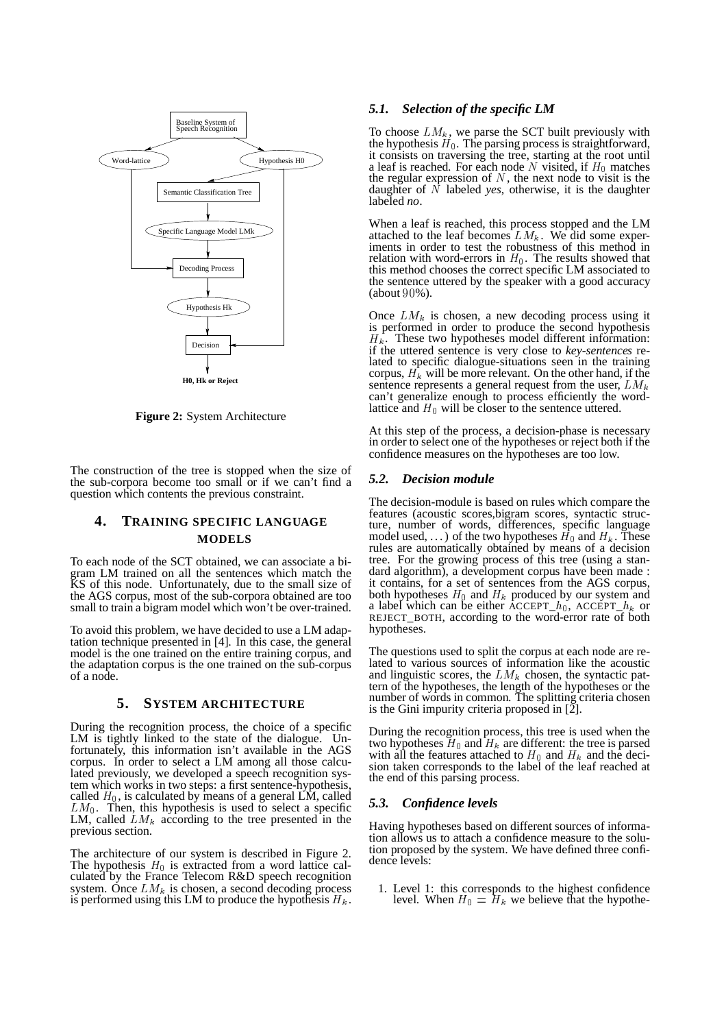

**Figure 2:** System Architecture

The construction of the tree is stopped when the size of the sub-corpora become too small or if we can't find a question which contents the previous constraint.

# **4. TRAINING SPECIFIC LANGUAGE MODELS**

To each node of the SCT obtained, we can associate a bigram LM trained on all the sentences which match the KS of this node. Unfortunately, due to the small size of the AGS corpus, most of the sub-corpora obtained are too small to train a bigram model which won't be over-trained.

To avoid this problem, we have decided to use a LM adaptation technique presented in [4]. In this case, the general model is the one trained on the entire training corpus, and the adaptation corpus is the one trained on the sub-corpus of a node.

### **5. SYSTEM ARCHITECTURE**

During the recognition process, the choice of a specific LM is tightly linked to the state of the dialogue. Unfortunately, this information isn't available in the AGS corpus. In order to select a LM among all those calculated previously, we developed a speech recognition system which works in two steps: a first sentence-hypothesis, called  $H_0$ , is calculated by means of a general LM, called  $LM_0$ . Then, this hypothesis is used to select a specific LM, called  $LM_k$  according to the tree presented in the previous section.

The architecture of our system is described in Figure 2. The hypothesis  $H_0$  is extracted from a word lattice calculated by the France Telecom R&D speech recognition system. Once  $LM_k$  is chosen, a second decoding process is performed using this LM to produce the hypothesis  $H_k$ . level. V

### *5.1. Selection of the specific LM*

To choose  $LM_k$ , we parse the SCT built previously with the hypothesis  $H_0$ . The parsing process is straightforward, it consists on traversing the tree, starting at the root until a leaf is reached. For each node N visited, if  $H_0$  matches the regular expression of  $N$ , the next node to visit is the daughter of  $\overline{N}$  labeled *yes*, otherwise, it is the daughter labeled *no*.

When a leaf is reached, this process stopped and the LM attached to the leaf becomes  $LM_k$ . We did some experiments in order to test the robustness of this method in relation with word-errors in  $H_0$ . The results showed that this method chooses the correct specific LM associated to the sentence uttered by the speaker with a good accuracy (about  $90\%$ ).

Once  $LM_k$  is chosen, a new decoding process using it is performed in order to produce the second hypothesis  $H_k$ . These two hypotheses model different information: if the uttered sentence is very close to *key-sentences* related to specific dialogue-situations seen in the training corpus,  $H_k$  will be more relevant. On the other hand, if the sentence represents a general request from the user,  $LM_k$ can't generalize enough to process efficiently the wordlattice and  $H_0$  will be closer to the sentence uttered.

At this step of the process, a decision-phase is necessary in order to select one of the hypotheses or reject both if the confidence measures on the hypotheses are too low.

### *5.2. Decision module*

The decision-module is based on rules which compare the features (acoustic scores,bigram scores, syntactic structure, number of words, differences, specific language model used, ...) of the two hypotheses  $H_0$  and  $H_k$ . These rules are automatically obtained by means of a decision tree. For the growing process of this tree (using a standard algorithm), a development corpus have been made : it contains, for a set of sentences from the AGS corpus, both hypotheses  $H_0$  and  $H_k$  produced by our system and a label which can be either  $ACCEPT\_h_0$ ,  $ACCEPT\_h_k$  or REJECT\_BOTH, according to the word-error rate of both hypotheses.

The questions used to split the corpus at each node are related to various sources of information like the acoustic and linguistic scores, the  $LM_k$  chosen, the syntactic pattern of the hypotheses, the length of the hypotheses or the number of words in common. The splitting criteria chosen is the Gini impurity criteria proposed in  $[\overline{2}]$ .

During the recognition process, this tree is used when the two hypotheses  $H_0$  and  $H_k$  are different: the tree is parsed with all the features attached to  $H_0$  and  $H_k$  and the decision taken corresponds to the label of the leaf reached at the end of this parsing process.

### *5.3. Confidence levels*

Having hypotheses based on different sources of information allows us to attach a confidence measure to the solution proposed by the system. We have defined three confidence levels:

1. Level 1: this corresponds to the highest confidence level. When  $H_0 = H_k$  we believe that the hypothe-